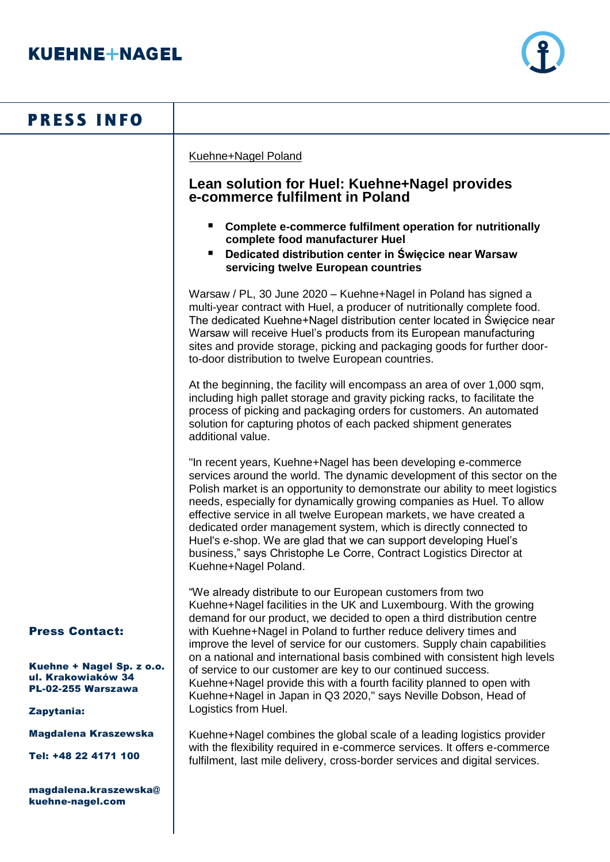

# **PRESS INFO**

Kuehne+Nagel Poland

# **Lean solution for Huel: Kuehne+Nagel provides e-commerce fulfilment in Poland**

- **Complete e-commerce fulfilment operation for nutritionally complete food manufacturer Huel**
- **Dedicated distribution center in Święcice near Warsaw servicing twelve European countries**

Warsaw / PL, 30 June 2020 – Kuehne+Nagel in Poland has signed a multi-year contract with Huel, a producer of nutritionally complete food. The dedicated Kuehne+Nagel distribution center located in Święcice near Warsaw will receive Huel's products from its European manufacturing sites and provide storage, picking and packaging goods for further doorto-door distribution to twelve European countries.

At the beginning, the facility will encompass an area of over 1,000 sqm, including high pallet storage and gravity picking racks, to facilitate the process of picking and packaging orders for customers. An automated solution for capturing photos of each packed shipment generates additional value.

"In recent years, Kuehne+Nagel has been developing e-commerce services around the world. The dynamic development of this sector on the Polish market is an opportunity to demonstrate our ability to meet logistics needs, especially for dynamically growing companies as Huel. To allow effective service in all twelve European markets, we have created a dedicated order management system, which is directly connected to Huel's e-shop. We are glad that we can support developing Huel's business," says Christophe Le Corre, Contract Logistics Director at Kuehne+Nagel Poland.

"We already distribute to our European customers from two Kuehne+Nagel facilities in the UK and Luxembourg. With the growing demand for our product, we decided to open a third distribution centre with Kuehne+Nagel in Poland to further reduce delivery times and improve the level of service for our customers. Supply chain capabilities on a national and international basis combined with consistent high levels of service to our customer are key to our continued success. Kuehne+Nagel provide this with a fourth facility planned to open with Kuehne+Nagel in Japan in Q3 2020," says Neville Dobson, Head of Logistics from Huel.

Kuehne+Nagel combines the global scale of a leading logistics provider with the flexibility required in e-commerce services. It offers e-commerce fulfilment, last mile delivery, cross-border services and digital services.

## Press Contact:

Kuehne + Nagel Sp. z o.o. ul. Krakowiaków 34 PL-02-255 Warszawa

### Zapytania:

Magdalena Kraszewska

Tel: +48 22 4171 100

magdalena.kraszewska@ kuehne-nagel.com